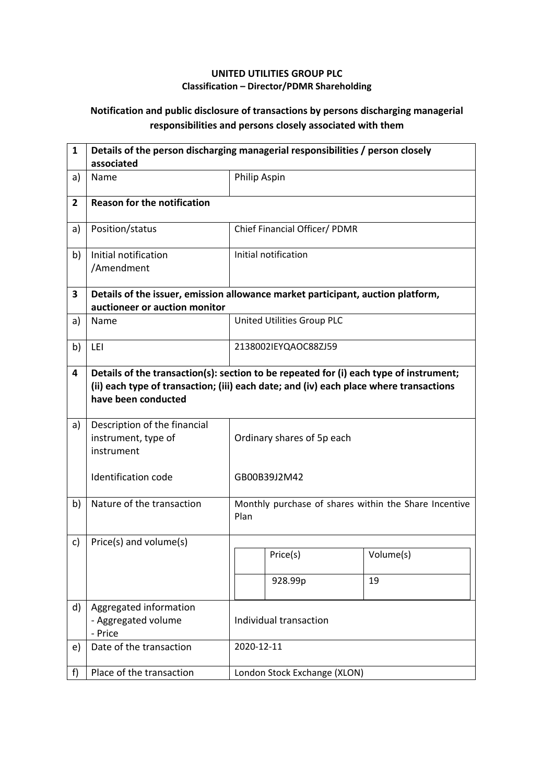## **UNITED UTILITIES GROUP PLC Classification – Director/PDMR Shareholding**

## **Notification and public disclosure of transactions by persons discharging managerial responsibilities and persons closely associated with them**

| $\mathbf{1}$   | Details of the person discharging managerial responsibilities / person closely<br>associated                                                                                                            |                            |                                                       |           |  |
|----------------|---------------------------------------------------------------------------------------------------------------------------------------------------------------------------------------------------------|----------------------------|-------------------------------------------------------|-----------|--|
| a)             | Name                                                                                                                                                                                                    |                            | Philip Aspin                                          |           |  |
| $\overline{2}$ | <b>Reason for the notification</b>                                                                                                                                                                      |                            |                                                       |           |  |
| a)             | Position/status                                                                                                                                                                                         |                            | Chief Financial Officer/ PDMR                         |           |  |
| b)             | Initial notification<br>/Amendment                                                                                                                                                                      |                            | Initial notification                                  |           |  |
| 3              | Details of the issuer, emission allowance market participant, auction platform,<br>auctioneer or auction monitor                                                                                        |                            |                                                       |           |  |
| a)             | Name                                                                                                                                                                                                    |                            | United Utilities Group PLC                            |           |  |
| b)             | LEI                                                                                                                                                                                                     |                            | 2138002IEYQAOC88ZJ59                                  |           |  |
| 4              | Details of the transaction(s): section to be repeated for (i) each type of instrument;<br>(ii) each type of transaction; (iii) each date; and (iv) each place where transactions<br>have been conducted |                            |                                                       |           |  |
| a)             | Description of the financial<br>instrument, type of<br>instrument                                                                                                                                       | Ordinary shares of 5p each |                                                       |           |  |
|                | <b>Identification code</b>                                                                                                                                                                              |                            | GB00B39J2M42                                          |           |  |
| b)             | Nature of the transaction                                                                                                                                                                               | Plan                       | Monthly purchase of shares within the Share Incentive |           |  |
| c)             | Price(s) and volume(s)                                                                                                                                                                                  |                            |                                                       |           |  |
|                |                                                                                                                                                                                                         |                            | Price(s)                                              | Volume(s) |  |
|                |                                                                                                                                                                                                         |                            | 928.99p                                               | 19        |  |
| d)             | Aggregated information<br>- Aggregated volume<br>- Price                                                                                                                                                | Individual transaction     |                                                       |           |  |
| e)             | Date of the transaction                                                                                                                                                                                 | 2020-12-11                 |                                                       |           |  |
| f)             | Place of the transaction                                                                                                                                                                                |                            | London Stock Exchange (XLON)                          |           |  |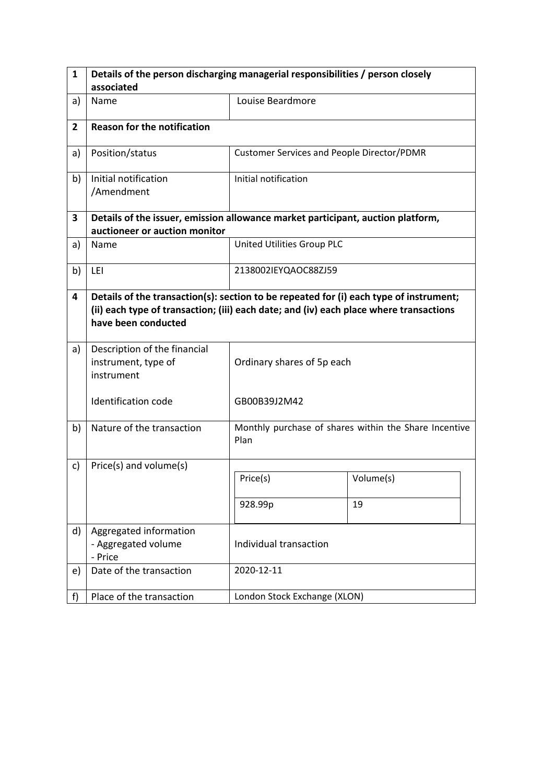| 1              | Details of the person discharging managerial responsibilities / person closely                                                                                                                          |                                                   |                                                       |  |
|----------------|---------------------------------------------------------------------------------------------------------------------------------------------------------------------------------------------------------|---------------------------------------------------|-------------------------------------------------------|--|
|                | associated                                                                                                                                                                                              |                                                   |                                                       |  |
| a)             | Name                                                                                                                                                                                                    | Louise Beardmore                                  |                                                       |  |
| $\overline{2}$ | <b>Reason for the notification</b>                                                                                                                                                                      |                                                   |                                                       |  |
| a)             | Position/status                                                                                                                                                                                         | <b>Customer Services and People Director/PDMR</b> |                                                       |  |
| b)             | Initial notification<br>/Amendment                                                                                                                                                                      | Initial notification                              |                                                       |  |
| 3              | Details of the issuer, emission allowance market participant, auction platform,<br>auctioneer or auction monitor                                                                                        |                                                   |                                                       |  |
| a)             | Name                                                                                                                                                                                                    | United Utilities Group PLC                        |                                                       |  |
| b)             | LEI                                                                                                                                                                                                     | 2138002IEYQAOC88ZJ59                              |                                                       |  |
| 4              | Details of the transaction(s): section to be repeated for (i) each type of instrument;<br>(ii) each type of transaction; (iii) each date; and (iv) each place where transactions<br>have been conducted |                                                   |                                                       |  |
| a)             | Description of the financial<br>instrument, type of<br>instrument                                                                                                                                       | Ordinary shares of 5p each                        |                                                       |  |
|                | <b>Identification code</b>                                                                                                                                                                              | GB00B39J2M42                                      |                                                       |  |
| b)             | Nature of the transaction                                                                                                                                                                               | Plan                                              | Monthly purchase of shares within the Share Incentive |  |
| c)             | Price(s) and volume(s)                                                                                                                                                                                  |                                                   |                                                       |  |
|                |                                                                                                                                                                                                         | Price(s)                                          | Volume(s)                                             |  |
|                |                                                                                                                                                                                                         | 928.99p                                           | 19                                                    |  |
| d)             | Aggregated information<br>- Aggregated volume<br>- Price                                                                                                                                                | Individual transaction                            |                                                       |  |
| e)             | Date of the transaction                                                                                                                                                                                 | 2020-12-11                                        |                                                       |  |
| f)             | Place of the transaction                                                                                                                                                                                | London Stock Exchange (XLON)                      |                                                       |  |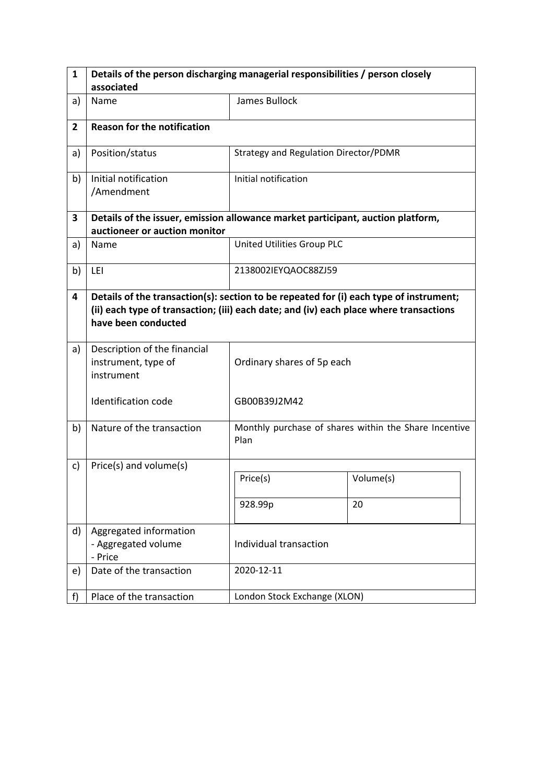| $\mathbf{1}$   | Details of the person discharging managerial responsibilities / person closely                                                                                                                          |                                       |                                                       |  |  |
|----------------|---------------------------------------------------------------------------------------------------------------------------------------------------------------------------------------------------------|---------------------------------------|-------------------------------------------------------|--|--|
|                | associated                                                                                                                                                                                              |                                       |                                                       |  |  |
| a)             | Name                                                                                                                                                                                                    | James Bullock                         |                                                       |  |  |
| $\overline{2}$ | <b>Reason for the notification</b>                                                                                                                                                                      |                                       |                                                       |  |  |
| a)             | Position/status                                                                                                                                                                                         | Strategy and Regulation Director/PDMR |                                                       |  |  |
| b)             | Initial notification<br>/Amendment                                                                                                                                                                      | Initial notification                  |                                                       |  |  |
| 3              | Details of the issuer, emission allowance market participant, auction platform,<br>auctioneer or auction monitor                                                                                        |                                       |                                                       |  |  |
| a)             | Name                                                                                                                                                                                                    | United Utilities Group PLC            |                                                       |  |  |
| b)             | LEI                                                                                                                                                                                                     | 2138002IEYQAOC88ZJ59                  |                                                       |  |  |
| 4              | Details of the transaction(s): section to be repeated for (i) each type of instrument;<br>(ii) each type of transaction; (iii) each date; and (iv) each place where transactions<br>have been conducted |                                       |                                                       |  |  |
| a)             | Description of the financial<br>instrument, type of<br>instrument                                                                                                                                       | Ordinary shares of 5p each            |                                                       |  |  |
|                | Identification code                                                                                                                                                                                     | GB00B39J2M42                          |                                                       |  |  |
| b)             | Nature of the transaction                                                                                                                                                                               | Plan                                  | Monthly purchase of shares within the Share Incentive |  |  |
| c)             | Price(s) and volume(s)                                                                                                                                                                                  |                                       |                                                       |  |  |
|                |                                                                                                                                                                                                         | Price(s)                              | Volume(s)                                             |  |  |
|                |                                                                                                                                                                                                         | 928.99p                               | 20                                                    |  |  |
| d)             | Aggregated information<br>- Aggregated volume<br>- Price                                                                                                                                                | Individual transaction                |                                                       |  |  |
| e)             | Date of the transaction                                                                                                                                                                                 | 2020-12-11                            |                                                       |  |  |
| f)             | Place of the transaction                                                                                                                                                                                | London Stock Exchange (XLON)          |                                                       |  |  |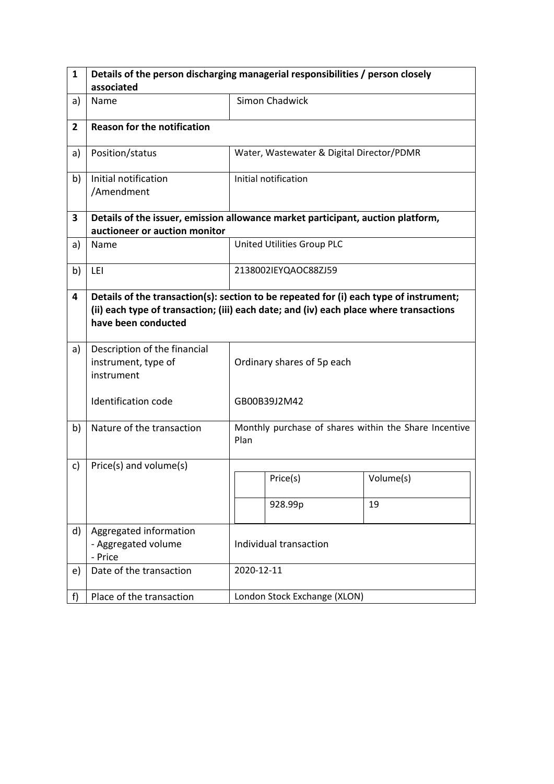| 1              | Details of the person discharging managerial responsibilities / person closely                                                                                                                          |                                                               |                                           |           |  |
|----------------|---------------------------------------------------------------------------------------------------------------------------------------------------------------------------------------------------------|---------------------------------------------------------------|-------------------------------------------|-----------|--|
|                | associated                                                                                                                                                                                              |                                                               |                                           |           |  |
| a)             | Name                                                                                                                                                                                                    |                                                               | <b>Simon Chadwick</b>                     |           |  |
| $\overline{2}$ | <b>Reason for the notification</b>                                                                                                                                                                      |                                                               |                                           |           |  |
| a)             | Position/status                                                                                                                                                                                         |                                                               | Water, Wastewater & Digital Director/PDMR |           |  |
| b)             | Initial notification<br>/Amendment                                                                                                                                                                      |                                                               | Initial notification                      |           |  |
| 3              | Details of the issuer, emission allowance market participant, auction platform,<br>auctioneer or auction monitor                                                                                        |                                                               |                                           |           |  |
| a)             | Name                                                                                                                                                                                                    |                                                               | United Utilities Group PLC                |           |  |
| b)             | LEI                                                                                                                                                                                                     |                                                               | 2138002IEYQAOC88ZJ59                      |           |  |
| 4              | Details of the transaction(s): section to be repeated for (i) each type of instrument;<br>(ii) each type of transaction; (iii) each date; and (iv) each place where transactions<br>have been conducted |                                                               |                                           |           |  |
| a)             | Description of the financial<br>instrument, type of<br>instrument                                                                                                                                       |                                                               | Ordinary shares of 5p each                |           |  |
|                | <b>Identification code</b>                                                                                                                                                                              |                                                               | GB00B39J2M42                              |           |  |
| b)             | Nature of the transaction                                                                                                                                                                               | Monthly purchase of shares within the Share Incentive<br>Plan |                                           |           |  |
| c)             | Price(s) and volume(s)                                                                                                                                                                                  |                                                               |                                           |           |  |
|                |                                                                                                                                                                                                         |                                                               | Price(s)                                  | Volume(s) |  |
|                |                                                                                                                                                                                                         |                                                               | 928.99p                                   | 19        |  |
| d)             | Aggregated information<br>- Aggregated volume<br>- Price                                                                                                                                                | Individual transaction                                        |                                           |           |  |
| e)             | Date of the transaction                                                                                                                                                                                 | 2020-12-11                                                    |                                           |           |  |
| f)             | Place of the transaction                                                                                                                                                                                | London Stock Exchange (XLON)                                  |                                           |           |  |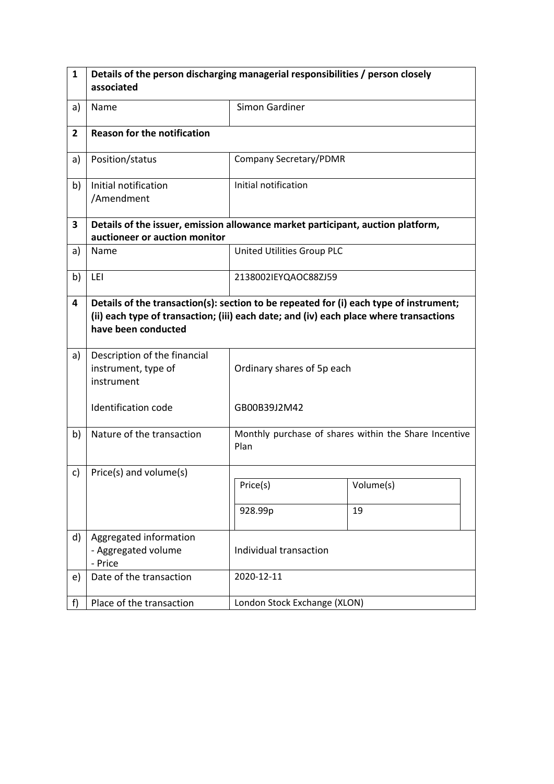| $\mathbf{1}$   | Details of the person discharging managerial responsibilities / person closely                                                                                                                          |                                                               |                        |  |  |
|----------------|---------------------------------------------------------------------------------------------------------------------------------------------------------------------------------------------------------|---------------------------------------------------------------|------------------------|--|--|
|                | associated                                                                                                                                                                                              |                                                               |                        |  |  |
| a)             | Name                                                                                                                                                                                                    | Simon Gardiner                                                |                        |  |  |
| $\overline{2}$ | <b>Reason for the notification</b>                                                                                                                                                                      |                                                               |                        |  |  |
| a)             | Position/status                                                                                                                                                                                         |                                                               | Company Secretary/PDMR |  |  |
| b)             | Initial notification<br>/Amendment                                                                                                                                                                      | Initial notification                                          |                        |  |  |
| 3              | Details of the issuer, emission allowance market participant, auction platform,<br>auctioneer or auction monitor                                                                                        |                                                               |                        |  |  |
| a)             | Name                                                                                                                                                                                                    | United Utilities Group PLC                                    |                        |  |  |
| b)             | LEI                                                                                                                                                                                                     | 2138002IEYQAOC88ZJ59                                          |                        |  |  |
| 4              | Details of the transaction(s): section to be repeated for (i) each type of instrument;<br>(ii) each type of transaction; (iii) each date; and (iv) each place where transactions<br>have been conducted |                                                               |                        |  |  |
| a)             | Description of the financial<br>instrument, type of<br>instrument                                                                                                                                       | Ordinary shares of 5p each                                    |                        |  |  |
|                | <b>Identification code</b>                                                                                                                                                                              | GB00B39J2M42                                                  |                        |  |  |
| b)             | Nature of the transaction                                                                                                                                                                               | Monthly purchase of shares within the Share Incentive<br>Plan |                        |  |  |
| c)             | Price(s) and volume(s)                                                                                                                                                                                  |                                                               |                        |  |  |
|                |                                                                                                                                                                                                         | Price(s)                                                      | Volume(s)              |  |  |
|                |                                                                                                                                                                                                         | 928.99p                                                       | 19                     |  |  |
| d)             | Aggregated information<br>- Aggregated volume<br>- Price                                                                                                                                                | Individual transaction                                        |                        |  |  |
| e)             | Date of the transaction                                                                                                                                                                                 | 2020-12-11                                                    |                        |  |  |
| f              | Place of the transaction                                                                                                                                                                                | London Stock Exchange (XLON)                                  |                        |  |  |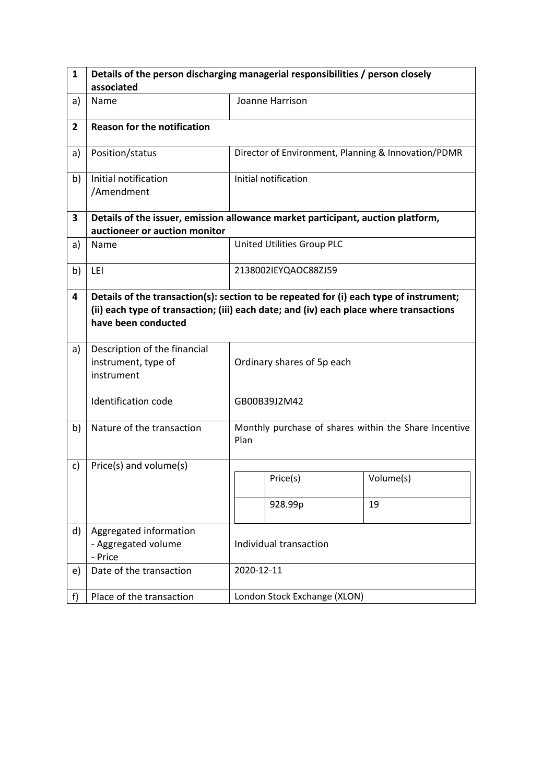| 1              | Details of the person discharging managerial responsibilities / person closely                                                                                                                          |                                                               |                            |                                                     |  |
|----------------|---------------------------------------------------------------------------------------------------------------------------------------------------------------------------------------------------------|---------------------------------------------------------------|----------------------------|-----------------------------------------------------|--|
|                | associated                                                                                                                                                                                              |                                                               |                            |                                                     |  |
| a)             | Name                                                                                                                                                                                                    |                                                               | Joanne Harrison            |                                                     |  |
| $\overline{2}$ | <b>Reason for the notification</b>                                                                                                                                                                      |                                                               |                            |                                                     |  |
| a)             | Position/status                                                                                                                                                                                         |                                                               |                            | Director of Environment, Planning & Innovation/PDMR |  |
| b)             | Initial notification<br>/Amendment                                                                                                                                                                      |                                                               | Initial notification       |                                                     |  |
| 3              | Details of the issuer, emission allowance market participant, auction platform,<br>auctioneer or auction monitor                                                                                        |                                                               |                            |                                                     |  |
| a)             | Name                                                                                                                                                                                                    |                                                               | United Utilities Group PLC |                                                     |  |
| b)             | LEI                                                                                                                                                                                                     |                                                               | 2138002IEYQAOC88ZJ59       |                                                     |  |
| 4              | Details of the transaction(s): section to be repeated for (i) each type of instrument;<br>(ii) each type of transaction; (iii) each date; and (iv) each place where transactions<br>have been conducted |                                                               |                            |                                                     |  |
| a)             | Description of the financial<br>instrument, type of<br>instrument                                                                                                                                       | Ordinary shares of 5p each                                    |                            |                                                     |  |
|                | <b>Identification code</b>                                                                                                                                                                              | GB00B39J2M42                                                  |                            |                                                     |  |
| b)             | Nature of the transaction                                                                                                                                                                               | Monthly purchase of shares within the Share Incentive<br>Plan |                            |                                                     |  |
| c)             | Price(s) and volume(s)                                                                                                                                                                                  |                                                               |                            |                                                     |  |
|                |                                                                                                                                                                                                         |                                                               | Price(s)                   | Volume(s)                                           |  |
|                |                                                                                                                                                                                                         |                                                               | 928.99p                    | 19                                                  |  |
| d)             | Aggregated information<br>- Aggregated volume<br>- Price                                                                                                                                                | Individual transaction                                        |                            |                                                     |  |
| e)             | Date of the transaction                                                                                                                                                                                 | 2020-12-11                                                    |                            |                                                     |  |
| f)             | Place of the transaction                                                                                                                                                                                | London Stock Exchange (XLON)                                  |                            |                                                     |  |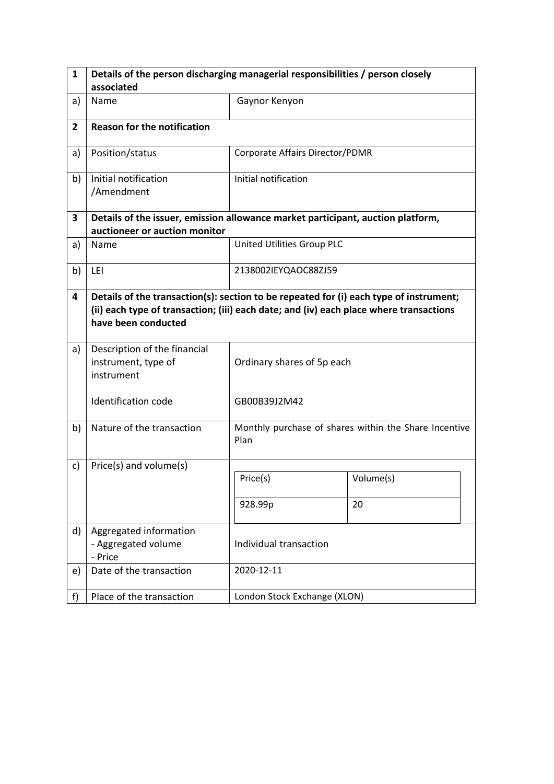| $\mathbf{1}$   | Details of the person discharging managerial responsibilities / person closely                                                                                                                          |                                 |                                                       |  |
|----------------|---------------------------------------------------------------------------------------------------------------------------------------------------------------------------------------------------------|---------------------------------|-------------------------------------------------------|--|
|                | associated                                                                                                                                                                                              |                                 |                                                       |  |
| a)             | Name                                                                                                                                                                                                    | Gaynor Kenyon                   |                                                       |  |
| $\overline{2}$ | <b>Reason for the notification</b>                                                                                                                                                                      |                                 |                                                       |  |
| a)             | Position/status                                                                                                                                                                                         | Corporate Affairs Director/PDMR |                                                       |  |
| b)             | Initial notification<br>/Amendment                                                                                                                                                                      | Initial notification            |                                                       |  |
| 3              | Details of the issuer, emission allowance market participant, auction platform,<br>auctioneer or auction monitor                                                                                        |                                 |                                                       |  |
| a)             | Name                                                                                                                                                                                                    | United Utilities Group PLC      |                                                       |  |
| b)             | LEI                                                                                                                                                                                                     | 2138002IEYQAOC88ZJ59            |                                                       |  |
| 4              | Details of the transaction(s): section to be repeated for (i) each type of instrument;<br>(ii) each type of transaction; (iii) each date; and (iv) each place where transactions<br>have been conducted |                                 |                                                       |  |
| a)             | Description of the financial<br>instrument, type of<br>instrument                                                                                                                                       | Ordinary shares of 5p each      |                                                       |  |
|                | <b>Identification code</b>                                                                                                                                                                              | GB00B39J2M42                    |                                                       |  |
| b)             | Nature of the transaction                                                                                                                                                                               | Plan                            | Monthly purchase of shares within the Share Incentive |  |
| c)             | Price(s) and volume(s)                                                                                                                                                                                  |                                 |                                                       |  |
|                |                                                                                                                                                                                                         | Price(s)                        | Volume(s)                                             |  |
|                |                                                                                                                                                                                                         | 928.99p                         | 20                                                    |  |
| d)             | Aggregated information<br>- Aggregated volume<br>- Price                                                                                                                                                | Individual transaction          |                                                       |  |
| e)             | Date of the transaction                                                                                                                                                                                 | 2020-12-11                      |                                                       |  |
| f)             | Place of the transaction                                                                                                                                                                                | London Stock Exchange (XLON)    |                                                       |  |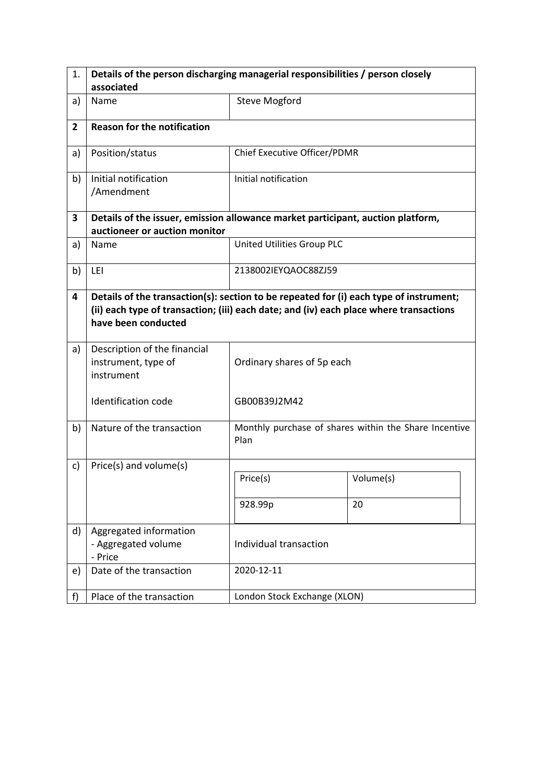| 1.             | Details of the person discharging managerial responsibilities / person closely                                                                                                                          |                              |                                                       |  |
|----------------|---------------------------------------------------------------------------------------------------------------------------------------------------------------------------------------------------------|------------------------------|-------------------------------------------------------|--|
|                | associated                                                                                                                                                                                              |                              |                                                       |  |
| a)             | Name                                                                                                                                                                                                    | <b>Steve Mogford</b>         |                                                       |  |
| $\overline{2}$ | <b>Reason for the notification</b>                                                                                                                                                                      |                              |                                                       |  |
| a)             | Position/status                                                                                                                                                                                         | Chief Executive Officer/PDMR |                                                       |  |
| b)             | Initial notification<br>/Amendment                                                                                                                                                                      | Initial notification         |                                                       |  |
| 3              | Details of the issuer, emission allowance market participant, auction platform,<br>auctioneer or auction monitor                                                                                        |                              |                                                       |  |
| a)             | Name                                                                                                                                                                                                    | United Utilities Group PLC   |                                                       |  |
| b)             | LEI                                                                                                                                                                                                     | 2138002IEYQAOC88ZJ59         |                                                       |  |
| 4              | Details of the transaction(s): section to be repeated for (i) each type of instrument;<br>(ii) each type of transaction; (iii) each date; and (iv) each place where transactions<br>have been conducted |                              |                                                       |  |
| a)             | Description of the financial<br>instrument, type of<br>instrument                                                                                                                                       | Ordinary shares of 5p each   |                                                       |  |
|                | Identification code                                                                                                                                                                                     | GB00B39J2M42                 |                                                       |  |
| b)             | Nature of the transaction                                                                                                                                                                               | Plan                         | Monthly purchase of shares within the Share Incentive |  |
| c)             | Price(s) and volume(s)                                                                                                                                                                                  |                              |                                                       |  |
|                |                                                                                                                                                                                                         | Price(s)                     | Volume(s)                                             |  |
|                |                                                                                                                                                                                                         | 928.99p                      | 20                                                    |  |
| d)             | Aggregated information<br>- Aggregated volume<br>- Price                                                                                                                                                | Individual transaction       |                                                       |  |
| e)             | Date of the transaction                                                                                                                                                                                 | 2020-12-11                   |                                                       |  |
| f)             | Place of the transaction                                                                                                                                                                                | London Stock Exchange (XLON) |                                                       |  |